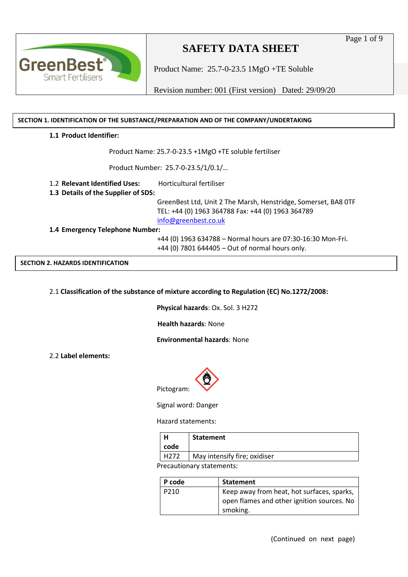

Product Name: 25.7-0-23.5 1MgO +TE Soluble

Revision number: 001 (First version) Dated: 29/09/20

#### **SECTION 1. IDENTIFICATION OF THE SUBSTANCE/PREPARATION AND OF THE COMPANY/UNDERTAKING**

#### **1.1 Product Identifier:**

Product Name: 25.7-0-23.5 +1MgO +TE soluble fertiliser

Product Number: 25.7-0-23.5/1/0.1/…

1.2 **Relevant Identified Uses:** Horticultural fertiliser

**1.3 Details of the Supplier of SDS:**

 GreenBest Ltd, Unit 2 The Marsh, Henstridge, Somerset, BA8 0TF TEL: +44 (0) 1963 364788 Fax: +44 (0) 1963 364789 [info@greenbest.co.uk](mailto:info@greenbest.co.uk)

**1.4 Emergency Telephone Number:**

 +44 (0) 1963 634788 – Normal hours are 07:30-16:30 Mon-Fri. +44 (0) 7801 644405 – Out of normal hours only.

**SECTION 2. HAZARDS IDENTIFICATION**

2.1 **Classification of the substance of mixture according to Regulation (EC) No.1272/2008:**

**Physical hazards**: Ox. Sol. 3 H272

**Health hazards**: None

**Environmental hazards**: None

2.2 **Label elements:**



Signal word: Danger

Hazard statements:

|                                                          | <b>Statement</b>             |
|----------------------------------------------------------|------------------------------|
| code                                                     |                              |
| H272                                                     | May intensify fire; oxidiser |
| المطاعين عاميته والمطاعات والتباط متحاطبا والمتحاط ماميا |                              |

Precautionary statements:

| l P code         | Statement                                  |
|------------------|--------------------------------------------|
| P <sub>210</sub> | Keep away from heat, hot surfaces, sparks, |
|                  | open flames and other ignition sources. No |
|                  | smoking.                                   |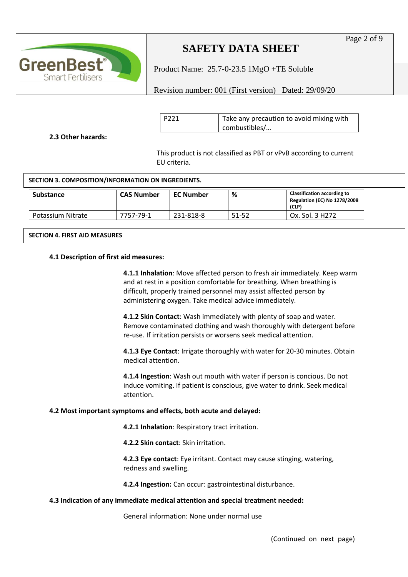

Product Name: 25.7-0-23.5 1MgO +TE Soluble

Revision number: 001 (First version) Dated: 29/09/20

| P <sub>221</sub> | Take any precaution to avoid mixing with |
|------------------|------------------------------------------|
|                  | combustibles/                            |

**2.3 Other hazards:**

This product is not classified as PBT or vPvB according to current EU criteria.

#### **SECTION 3. COMPOSITION/INFORMATION ON INGREDIENTS.**

| Substance         | <b>CAS Number</b> | <b>EC Number</b> | %     | <b>Classification according to</b><br><b>Regulation (EC) No 1278/2008</b><br>(CLP) |
|-------------------|-------------------|------------------|-------|------------------------------------------------------------------------------------|
| Potassium Nitrate | 7757-79-1         | 231-818-8        | 51-52 | Ox. Sol. 3 H272                                                                    |

#### **SECTION 4. FIRST AID MEASURES**

#### **4.1 Description of first aid measures:**

**4.1.1 Inhalation**: Move affected person to fresh air immediately. Keep warm and at rest in a position comfortable for breathing. When breathing is difficult, properly trained personnel may assist affected person by administering oxygen. Take medical advice immediately.

**4.1.2 Skin Contact**: Wash immediately with plenty of soap and water. Remove contaminated clothing and wash thoroughly with detergent before re-use. If irritation persists or worsens seek medical attention.

**4.1.3 Eye Contact**: Irrigate thoroughly with water for 20-30 minutes. Obtain medical attention.

**4.1.4 Ingestion**: Wash out mouth with water if person is concious. Do not induce vomiting. If patient is conscious, give water to drink. Seek medical attention.

#### **4.2 Most important symptoms and effects, both acute and delayed:**

**4.2.1 Inhalation**: Respiratory tract irritation.

**4.2.2 Skin contact**: Skin irritation.

**4.2.3 Eye contact**: Eye irritant. Contact may cause stinging, watering, redness and swelling.

**4.2.4 Ingestion:** Can occur: gastrointestinal disturbance.

#### **4.3 Indication of any immediate medical attention and special treatment needed:**

General information: None under normal use

Page 2 of 9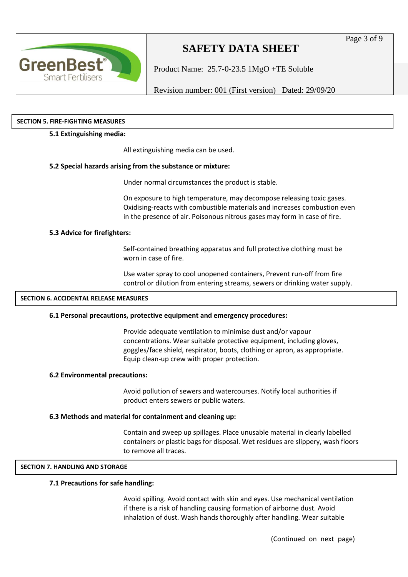

Product Name: 25.7-0-23.5 1MgO +TE Soluble

Revision number: 001 (First version) Dated: 29/09/20

#### **SECTION 5. FIRE-FIGHTING MEASURES**

#### **5.1 Extinguishing media:**

All extinguishing media can be used.

### **5.2 Special hazards arising from the substance or mixture:**

Under normal circumstances the product is stable.

On exposure to high temperature, may decompose releasing toxic gases. Oxidising-reacts with combustible materials and increases combustion even in the presence of air. Poisonous nitrous gases may form in case of fire.

### **5.3 Advice for firefighters:**

Self-contained breathing apparatus and full protective clothing must be worn in case of fire.

Use water spray to cool unopened containers, Prevent run-off from fire control or dilution from entering streams, sewers or drinking water supply.

#### **SECTION 6. ACCIDENTAL RELEASE MEASURES**

#### **6.1 Personal precautions, protective equipment and emergency procedures:**

Provide adequate ventilation to minimise dust and/or vapour concentrations. Wear suitable protective equipment, including gloves, goggles/face shield, respirator, boots, clothing or apron, as appropriate. Equip clean-up crew with proper protection.

#### **6.2 Environmental precautions:**

Avoid pollution of sewers and watercourses. Notify local authorities if product enters sewers or public waters.

#### **6.3 Methods and material for containment and cleaning up:**

Contain and sweep up spillages. Place unusable material in clearly labelled containers or plastic bags for disposal. Wet residues are slippery, wash floors to remove all traces.

#### **SECTION 7. HANDLING AND STORAGE**

#### **7.1 Precautions for safe handling:**

Avoid spilling. Avoid contact with skin and eyes. Use mechanical ventilation if there is a risk of handling causing formation of airborne dust. Avoid inhalation of dust. Wash hands thoroughly after handling. Wear suitable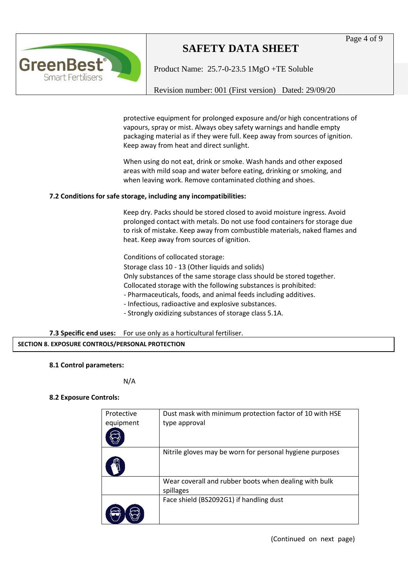# **GreenBest Smart Fertilisers**

# **SAFETY DATA SHEET**

Product Name: 25.7-0-23.5 1MgO +TE Soluble

Revision number: 001 (First version) Dated: 29/09/20

protective equipment for prolonged exposure and/or high concentrations of vapours, spray or mist. Always obey safety warnings and handle empty packaging material as if they were full. Keep away from sources of ignition. Keep away from heat and direct sunlight.

When using do not eat, drink or smoke. Wash hands and other exposed areas with mild soap and water before eating, drinking or smoking, and when leaving work. Remove contaminated clothing and shoes.

## **7.2 Conditions for safe storage, including any incompatibilities:**

Keep dry. Packs should be stored closed to avoid moisture ingress. Avoid prolonged contact with metals. Do not use food containers for storage due to risk of mistake. Keep away from combustible materials, naked flames and heat. Keep away from sources of ignition.

Conditions of collocated storage:

 Storage class 10 - 13 (Other liquids and solids) Only substances of the same storage class should be stored together. Collocated storage with the following substances is prohibited: - Pharmaceuticals, foods, and animal feeds including additives.

- Infectious, radioactive and explosive substances.
- Strongly oxidizing substances of storage class 5.1A.

**7.3 Specific end uses:** For use only as a horticultural fertiliser. **SECTION 8. EXPOSURE CONTROLS/PERSONAL PROTECTION**

## **8.1 Control parameters:**

N/A

## **8.2 Exposure Controls:**

| Protective<br>equipment | Dust mask with minimum protection factor of 10 with HSE<br>type approval |
|-------------------------|--------------------------------------------------------------------------|
|                         | Nitrile gloves may be worn for personal hygiene purposes                 |
|                         | Wear coverall and rubber boots when dealing with bulk<br>spillages       |
|                         | Face shield (BS2092G1) if handling dust                                  |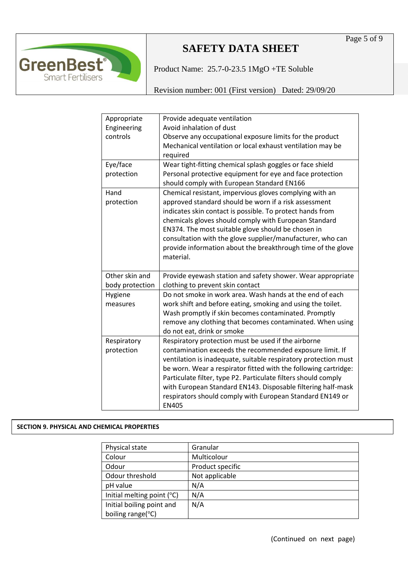

Product Name: 25.7-0-23.5 1MgO +TE Soluble

Revision number: 001 (First version) Dated: 29/09/20

| Appropriate     | Provide adequate ventilation                                              |
|-----------------|---------------------------------------------------------------------------|
| Engineering     | Avoid inhalation of dust                                                  |
| controls        | Observe any occupational exposure limits for the product                  |
|                 | Mechanical ventilation or local exhaust ventilation may be                |
|                 | required                                                                  |
| Eye/face        | Wear tight-fitting chemical splash goggles or face shield                 |
| protection      | Personal protective equipment for eye and face protection                 |
|                 | should comply with European Standard EN166                                |
| Hand            | Chemical resistant, impervious gloves complying with an                   |
| protection      | approved standard should be worn if a risk assessment                     |
|                 | indicates skin contact is possible. To protect hands from                 |
|                 | chemicals gloves should comply with European Standard                     |
|                 | EN374. The most suitable glove should be chosen in                        |
|                 | consultation with the glove supplier/manufacturer, who can                |
|                 | provide information about the breakthrough time of the glove              |
|                 | material.                                                                 |
|                 |                                                                           |
|                 |                                                                           |
| Other skin and  | Provide eyewash station and safety shower. Wear appropriate               |
| body protection | clothing to prevent skin contact                                          |
| Hygiene         | Do not smoke in work area. Wash hands at the end of each                  |
| measures        | work shift and before eating, smoking and using the toilet.               |
|                 | Wash promptly if skin becomes contaminated. Promptly                      |
|                 | remove any clothing that becomes contaminated. When using                 |
|                 | do not eat, drink or smoke                                                |
| Respiratory     | Respiratory protection must be used if the airborne                       |
| protection      | contamination exceeds the recommended exposure limit. If                  |
|                 | ventilation is inadequate, suitable respiratory protection must           |
|                 | be worn. Wear a respirator fitted with the following cartridge:           |
|                 | Particulate filter, type P2. Particulate filters should comply            |
|                 | with European Standard EN143. Disposable filtering half-mask              |
|                 | respirators should comply with European Standard EN149 or<br><b>EN405</b> |

## **SECTION 9. PHYSICAL AND CHEMICAL PROPERTIES**

| Physical state                      | Granular         |
|-------------------------------------|------------------|
| Colour                              | Multicolour      |
| Odour                               | Product specific |
| Odour threshold                     | Not applicable   |
| pH value                            | N/A              |
| Initial melting point $(^{\circ}C)$ | N/A              |
| Initial boiling point and           | N/A              |
| boiling range(°C)                   |                  |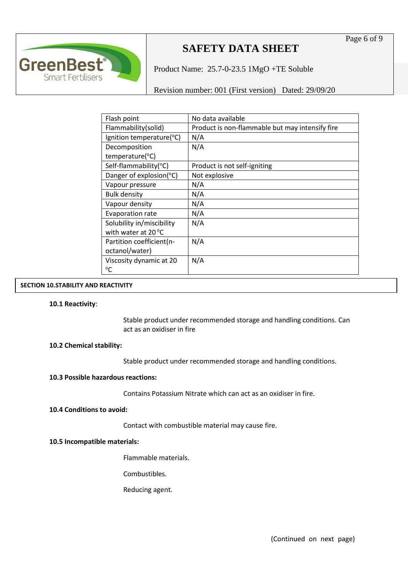

Product Name: 25.7-0-23.5 1MgO +TE Soluble

Revision number: 001 (First version) Dated: 29/09/20

| Flash point                  | No data available                               |
|------------------------------|-------------------------------------------------|
| Flammability(solid)          | Product is non-flammable but may intensify fire |
| Ignition temperature(°C)     | N/A                                             |
| Decomposition                | N/A                                             |
| temperature(°C)              |                                                 |
| Self-flammability(°C)        | Product is not self-igniting                    |
| Danger of explosion(°C)      | Not explosive                                   |
| Vapour pressure              | N/A                                             |
| <b>Bulk density</b>          | N/A                                             |
| Vapour density               | N/A                                             |
| Evaporation rate             | N/A                                             |
| Solubility in/miscibility    | N/A                                             |
| with water at $20^{\circ}$ C |                                                 |
| Partition coefficient(n-     | N/A                                             |
| octanol/water)               |                                                 |
| Viscosity dynamic at 20      | N/A                                             |
| °C                           |                                                 |

### **SECTION 10.STABILITY AND REACTIVITY**

#### **10.1 Reactivity**:

Stable product under recommended storage and handling conditions. Can act as an oxidiser in fire

#### **10.2 Chemical stability:**

Stable product under recommended storage and handling conditions.

#### **10.3 Possible hazardous reactions:**

Contains Potassium Nitrate which can act as an oxidiser in fire.

#### **10.4 Conditions to avoid:**

Contact with combustible material may cause fire.

#### **10.5 Incompatible materials:**

Flammable materials.

Combustibles.

Reducing agent.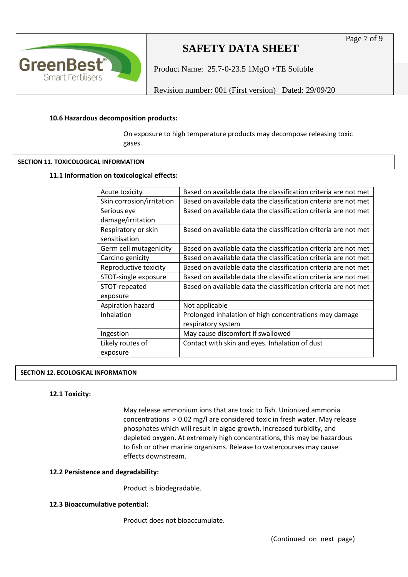

Product Name: 25.7-0-23.5 1MgO +TE Soluble

Revision number: 001 (First version) Dated: 29/09/20

#### **10.6 Hazardous decomposition products:**

On exposure to high temperature products may decompose releasing toxic gases.

#### **SECTION 11. TOXICOLOGICAL INFORMATION**

#### **11.1 Information on toxicological effects:**

| Acute toxicity            | Based on available data the classification criteria are not met |
|---------------------------|-----------------------------------------------------------------|
| Skin corrosion/irritation | Based on available data the classification criteria are not met |
| Serious eye               | Based on available data the classification criteria are not met |
| damage/irritation         |                                                                 |
| Respiratory or skin       | Based on available data the classification criteria are not met |
| sensitisation             |                                                                 |
| Germ cell mutagenicity    | Based on available data the classification criteria are not met |
| Carcino genicity          | Based on available data the classification criteria are not met |
| Reproductive toxicity     | Based on available data the classification criteria are not met |
| STOT-single exposure      | Based on available data the classification criteria are not met |
| STOT-repeated             | Based on available data the classification criteria are not met |
| exposure                  |                                                                 |
| Aspiration hazard         | Not applicable                                                  |
| Inhalation                | Prolonged inhalation of high concentrations may damage          |
|                           | respiratory system                                              |
| Ingestion                 | May cause discomfort if swallowed                               |
| Likely routes of          | Contact with skin and eyes. Inhalation of dust                  |
| exposure                  |                                                                 |
|                           |                                                                 |

#### **SECTION 12. ECOLOGICAL INFORMATION**

#### **12.1 Toxicity:**

May release ammonium ions that are toxic to fish. Unionized ammonia concentrations > 0.02 mg/l are considered toxic in fresh water. May release phosphates which will result in algae growth, increased turbidity, and depleted oxygen. At extremely high concentrations, this may be hazardous to fish or other marine organisms. Release to watercourses may cause effects downstream.

#### **12.2 Persistence and degradability:**

Product is biodegradable.

#### **12.3 Bioaccumulative potential:**

Product does not bioaccumulate.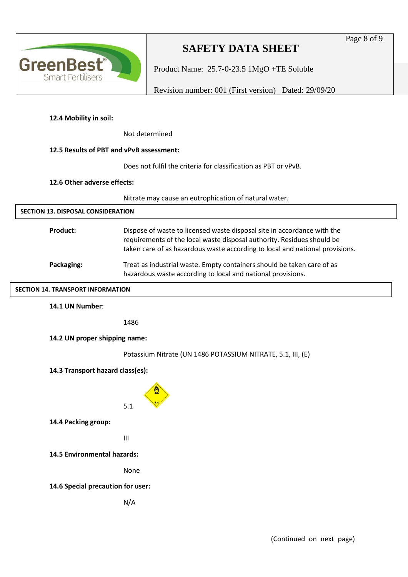Page 8 of 9



# **SAFETY DATA SHEET**

Product Name: 25.7-0-23.5 1MgO +TE Soluble

Revision number: 001 (First version) Dated: 29/09/20

# **12.4 Mobility in soil:**

Not determined

## **12.5 Results of PBT and vPvB assessment:**

Does not fulfil the criteria for classification as PBT or vPvB.

### **12.6 Other adverse effects:**

Nitrate may cause an eutrophication of natural water.

| <u>Nitrate may cause an eutrophication or natural water.</u>                                                                                                                                                                      |  |
|-----------------------------------------------------------------------------------------------------------------------------------------------------------------------------------------------------------------------------------|--|
| <b>SECTION 13. DISPOSAL CONSIDERATION</b>                                                                                                                                                                                         |  |
| Dispose of waste to licensed waste disposal site in accordance with the<br>requirements of the local waste disposal authority. Residues should be<br>taken care of as hazardous waste according to local and national provisions. |  |
| Treat as industrial waste. Empty containers should be taken care of as<br>hazardous waste according to local and national provisions.                                                                                             |  |
| <b>SECTION 14. TRANSPORT INFORMATION</b>                                                                                                                                                                                          |  |
|                                                                                                                                                                                                                                   |  |
| 1486                                                                                                                                                                                                                              |  |
| 14.2 UN proper shipping name:                                                                                                                                                                                                     |  |
| Potassium Nitrate (UN 1486 POTASSIUM NITRATE, 5.1, III, (E)                                                                                                                                                                       |  |
| 14.3 Transport hazard class(es):                                                                                                                                                                                                  |  |
| 5.1                                                                                                                                                                                                                               |  |
|                                                                                                                                                                                                                                   |  |

III

**14.5 Environmental hazards:** 

None

## **14.6 Special precaution for user:**

N/A